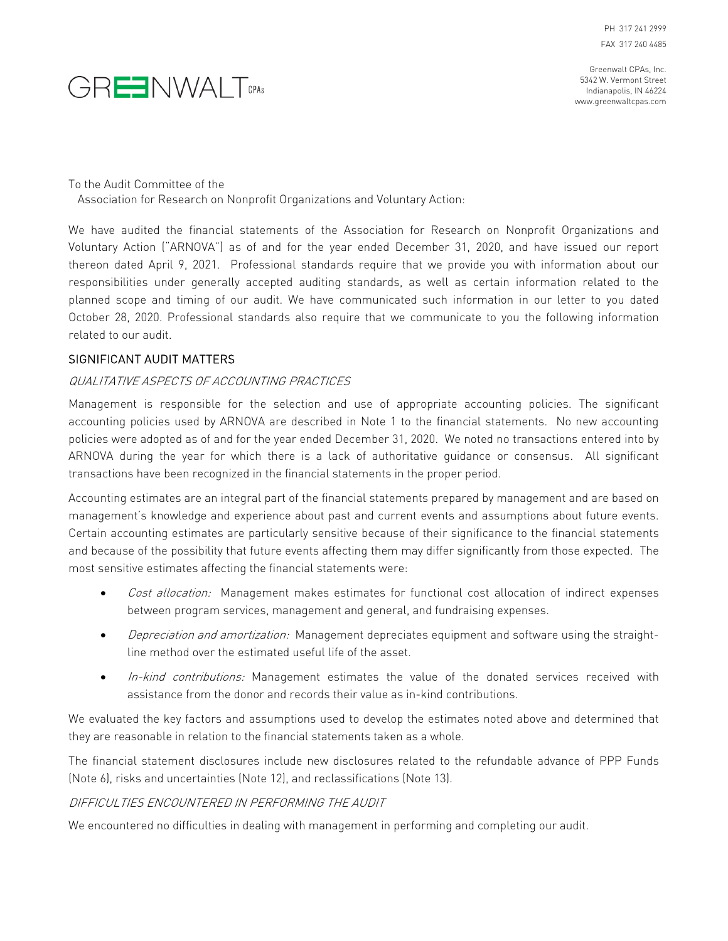PH 317 241 2999 FAX 317 240 4485



Greenwalt CPAs, Inc. 5342 W. Vermont Street Indianapolis, IN 46224 www.greenwaltcpas.com

To the Audit Committee of the

Association for Research on Nonprofit Organizations and Voluntary Action:

We have audited the financial statements of the Association for Research on Nonprofit Organizations and Voluntary Action ("ARNOVA") as of and for the year ended December 31, 2020, and have issued our report thereon dated April 9, 2021. Professional standards require that we provide you with information about our responsibilities under generally accepted auditing standards, as well as certain information related to the planned scope and timing of our audit. We have communicated such information in our letter to you dated October 28, 2020. Professional standards also require that we communicate to you the following information related to our audit.

# SIGNIFICANT AUDIT MATTERS

### QUALITATIVE ASPECTS OF ACCOUNTING PRACTICES

Management is responsible for the selection and use of appropriate accounting policies. The significant accounting policies used by ARNOVA are described in Note 1 to the financial statements. No new accounting policies were adopted as of and for the year ended December 31, 2020. We noted no transactions entered into by ARNOVA during the year for which there is a lack of authoritative guidance or consensus. All significant transactions have been recognized in the financial statements in the proper period.

Accounting estimates are an integral part of the financial statements prepared by management and are based on management's knowledge and experience about past and current events and assumptions about future events. Certain accounting estimates are particularly sensitive because of their significance to the financial statements and because of the possibility that future events affecting them may differ significantly from those expected. The most sensitive estimates affecting the financial statements were:

- Cost allocation: Management makes estimates for functional cost allocation of indirect expenses between program services, management and general, and fundraising expenses.
- Depreciation and amortization: Management depreciates equipment and software using the straightline method over the estimated useful life of the asset.
- In-kind contributions: Management estimates the value of the donated services received with assistance from the donor and records their value as in-kind contributions.

We evaluated the key factors and assumptions used to develop the estimates noted above and determined that they are reasonable in relation to the financial statements taken as a whole.

The financial statement disclosures include new disclosures related to the refundable advance of PPP Funds (Note 6), risks and uncertainties (Note 12), and reclassifications (Note 13).

### DIFFICULTIES ENCOUNTERED IN PERFORMING THE AUDIT

We encountered no difficulties in dealing with management in performing and completing our audit.